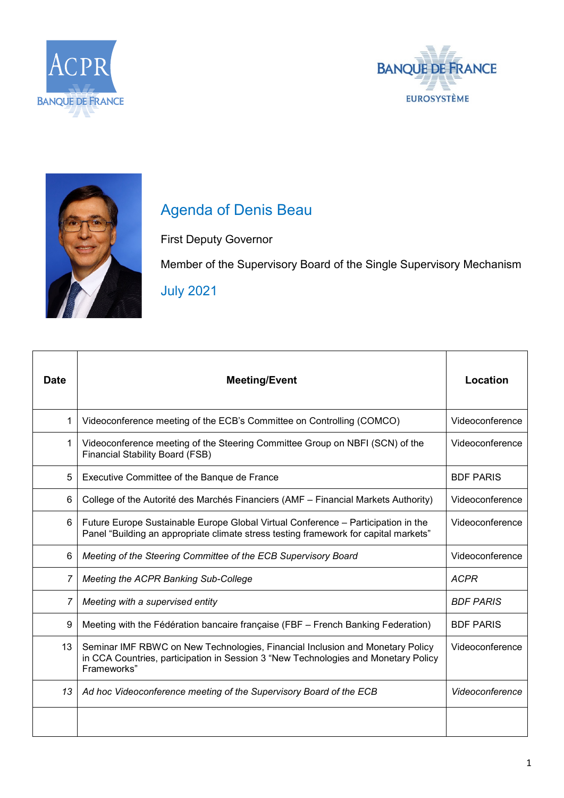





## Agenda of Denis Beau

First Deputy Governor

Member of the Supervisory Board of the Single Supervisory Mechanism July 2021

| <b>Date</b> | <b>Meeting/Event</b>                                                                                                                                                               | Location         |
|-------------|------------------------------------------------------------------------------------------------------------------------------------------------------------------------------------|------------------|
| 1           | Videoconference meeting of the ECB's Committee on Controlling (COMCO)                                                                                                              | Videoconference  |
| 1           | Videoconference meeting of the Steering Committee Group on NBFI (SCN) of the<br><b>Financial Stability Board (FSB)</b>                                                             | Videoconference  |
| 5           | Executive Committee of the Banque de France                                                                                                                                        | <b>BDF PARIS</b> |
| 6           | College of the Autorité des Marchés Financiers (AMF – Financial Markets Authority)                                                                                                 | Videoconference  |
| 6           | Future Europe Sustainable Europe Global Virtual Conference - Participation in the<br>Panel "Building an appropriate climate stress testing framework for capital markets"          | Videoconference  |
| 6           | Meeting of the Steering Committee of the ECB Supervisory Board                                                                                                                     | Videoconference  |
| 7           | Meeting the ACPR Banking Sub-College                                                                                                                                               | <b>ACPR</b>      |
| 7           | Meeting with a supervised entity                                                                                                                                                   | <b>BDF PARIS</b> |
| 9           | Meeting with the Fédération bancaire française (FBF - French Banking Federation)                                                                                                   | <b>BDF PARIS</b> |
| 13          | Seminar IMF RBWC on New Technologies, Financial Inclusion and Monetary Policy<br>in CCA Countries, participation in Session 3 "New Technologies and Monetary Policy<br>Frameworks" | Videoconference  |
| 13          | Ad hoc Videoconference meeting of the Supervisory Board of the ECB                                                                                                                 | Videoconference  |
|             |                                                                                                                                                                                    |                  |